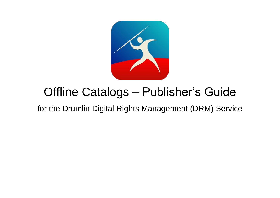

# Offline Catalogs – Publisher's Guide

# for the Drumlin Digital Rights Management (DRM) Service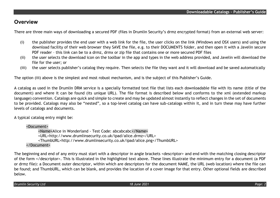# **Overview**

There are three main ways of downloading a secured PDF (files in Drumlin Security's drmz encrypted format) from an external web server:

- (i) the publisher provides the end user with a web link for the file, the user clicks on the link (Windows and OSX users) and using the download facility of their web browser they SAVE the file, e.g. to their DOCUMENTS folder, and then open it with a Javelin secure PDF reader – this link can be to a drmz, drmx or zip file that contains one or more secured PDF files
- (ii) the user selects the download icon on the toolbar in the app and types in the web address provided, and Javelin will download the file for the user; or
- (iii) the user selects publisher's catalog they require. Then selects the file they want and it will download and be saved automatically

The option (iii) above is the simplest and most robust mechanism, and is the subject of this Publisher's Guide.

A catalog as used in the Drumlin DRM service is a specially formatted text file that lists each downloadable file with its name (title of the document) and where it can be found (its unique URL). The file format is described below and conforms to the xml (extended markup language) convention. Catalogs are quick and simple to create and may be updated almost instantly to reflect changes in the set of documents to be provided. Catalogs may also be "nested", so a top-level catalog can have sub-catalogs within it, and in turn these may have further levels of catalogs and documents.

A typical catalog entry might be:

<Document> <Name>Alice in Wonderland - Test Code: abcabcabc</Name> <URL>http://www.drumlinsecurity.co.uk/ipad/alice.drmz</URL> <ThumbURL[>http://www.drumlinsecurity.co.uk/ipad/alice.png</ThumbURL>](http://www.drumlinsecurity.co.uk/ipad/alice.png%3c/ThumbURL) </Document>

The beginning and end of any entry must start with a descriptor in angle brackets <descriptor> and end with the matching closing descriptor of the form </descriptor>. This is illustrated in the highlighted text above. These lines illustrate the minimum entry for a document (a PDF or drmz file): a Document outer descriptor, within which are descriptors for the document NAME, the URL (web location) where the file can be found; and ThumbURL, which can be blank, and provides the location of a cover image for that entry. Other optional fields are described below.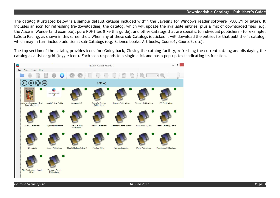#### **Downloadable Catalogs – Publisher's Guide**

The catalog illustrated below is a sample default catalog included within the Javelin3 for Windows reader software (v3.0.71 or later). It includes an icon for refreshing (re-downloading) the catalog, which will update the available entries, plus a mix of downloaded files (e.g. the Alice in Wonderland example), pure PDF files (like this guide), and other Catalogs that are specific to individual publishers – for example, LaSota Racing, as shown in this screenshot. When any of these sub-Catalogs is clicked it will download the entries for that publisher's catalog, which may in turn include additional sub-Catalogs (e.g. Science books, Art books, Course1, Course2, etc).

The top section of the catalog provides icons for: Going back, Closing the catalog facility, refreshing the current catalog and displaying the catalog as a list or grid (toggle icon). Each icon responds to a single click and has a pop-up text indicating its function.

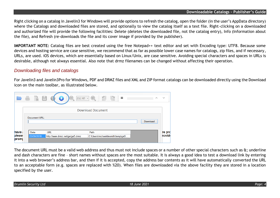#### **Downloadable Catalogs – Publisher's Guide**

Right clicking on a catalog in Javelin3 for Windows will provide options to refresh the catalog, open the folder (in the user's AppData directory) where the Catalogs and downloaded files are stored, and optionally to view the catalog itself as a text file. Right-clicking on a downloaded and authorized file will provide the following facilities: Delete (deletes the downloaded file, not the catalog entry), Info (Information about the file), and Refresh (re-downloads the file and its cover image if provided by the publisher).

**IMPORTANT NOTE:** Catalog files are best created using the free Notepad++ text editor and set with Encoding type: UTF8. Because some devices and hosting service are case sensitive, we recommend that as far as possible lower case names for catalogs, zip files, and if necessary, URLs, are used. iOS devices, which are essentially based on Linux/Unix, are case sensitive. Avoiding special characters and spaces in URLs is desirable, although not always essential. Also note that drmz filenames can be changed without affecting their operation.

# *Downloading files and catalogs*

For Javelin3 and Javelin3Pro for Windows, PDF and DRMZ files and XML and ZIP format catalogs can be downloaded directly using the Download icon on the main toolbar, as illustrated below.

|                | $=$ |               | $\blacksquare$<br>$\left(\begin{array}{c} \blacksquare \end{array}\right)$<br>- 2 |                                  |          | $\checkmark$ |
|----------------|-----|---------------|-----------------------------------------------------------------------------------|----------------------------------|----------|--------------|
|                |     |               |                                                                                   | Download Document                |          |              |
|                |     | Document URL: |                                                                                   |                                  | Download |              |
| have           |     | Date          | <b>URL</b>                                                                        | Path                             |          | re pro       |
| pleas(<br>prom |     | 23/09/2016    | http://www.drmz.net/ga/ga5.drmz                                                   | C:\Users\michaeldesmith\temp\ga5 |          | <b>rovid</b> |

The document URL must be a valid web address and thus must not include spaces or a number of other special characters such as &; underline and dash characters are fine – short names without spaces are the most suitable. It is always a good idea to test a download link by entering it into a web browser's address bar, and then if it is accepted, copy the address bar contents as it will have automatically converted the URL to an acceptable form (e.g. spaces are replaced with %20). When files are downloaded via the above facility they are stored in a location specified by the user.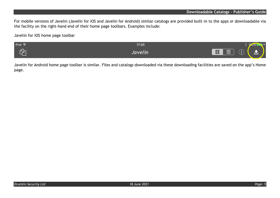For mobile versions of Javelin (Javelin for iOS and Javelin for Android) similar catalogs are provided built-in to the apps or downloadable via the facility on the right-hand end of their home page toolbars. Examples include:

Javelin for iOS home page toolbar

| $ $ iPad $\widehat{\mathcal{F}}$ | 17:20            |                                                                        |
|----------------------------------|------------------|------------------------------------------------------------------------|
|                                  | Javelin <b>J</b> | $\sqrt{2}$<br>H<br>⌒<br>$\equiv$<br>▄<br>____<br>$\tilde{\phantom{a}}$ |

Javelin for Android home page toolbar is similar. Files and catalogs downloaded via these downloading facilities are saved on the app's Home page.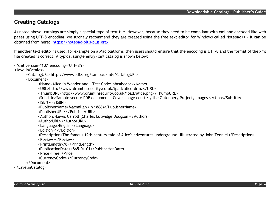# **Creating Catalogs**

As noted above, catalogs are simply a special type of text file. However, because they need to be compliant with xml and encoded like web pages using UTF-8 encoding, we strongly recommend they are created using the free text editor for Windows called Notepad++ - it can be obtained from here: <https://notepad-plus-plus.org/>

If another text editor is used, for example on a Mac platform, then users should ensure that the encoding is UTF-8 and the format of the xml file created is correct. A typical (single entry) xml catalog is shown below:

<?xml version="1.0" encoding="UTF-8"?>

<JavelinCatalog>

<CatalogURL>http://www.pdfz.org/sample.xml</CatalogURL>

<Document>

<Name>Alice in Wonderland - Test Code: abcabcabc</Name>

<URL>http://www.drumlinsecurity.co.uk/ipad/alice.drmz</URL>

<ThumbURL[>http://www.drumlinsecurity.co.uk/ipad/alice.png</ThumbURL>](http://www.drumlinsecurity.co.uk/ipad/alice.png%3c/ThumbURL)

<Subtitle>Sample secure PDF document - Cover image courtesy the Gutenberg Project, Images section</Subtitle>

<ISBN>-</ISBN>

<PublisherName>Macmillan (in 1866)</PublisherName>

<PublisherURL></PublisherURL>

<Authors>Lewis Carroll (Charles Lutwidge Dodgson)</Authors>

<AuthorURL></AuthorURL>

<Language>English</Language>

<Edition>1</Edition>

<Description>The famous 19th century tale of Alice's adventures underground. Illustrated by John Tenniel</Description>

<Review></Review>

<PrintLength>78</PrintLength>

<PublicationDate>1865-01-01</PublicationDate>

<Price>Free</Price>

<CurrencyCode></CurrencyCode>

</Document>

</JavelinCatalog>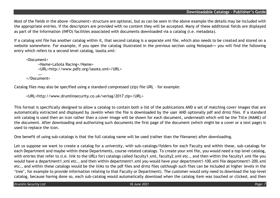Most of the fields in the above <Document> structure are optional, but as can be seen in the above example the details may be included with the appropriate entries. If the descriptors are provided with no content they will be accepted. Many of these additional fields are displayed as part of the Information (INFO) facilities associated with documents downloaded via a catalog (i.e. metadata).

If a catalog xml file has another catalog within it, that second catalog is a separate xml file, which also needs to be created and stored on a website somewhere. For example, if you open the catalog illustrated in the previous section using Notepad++ you will find the following entry which refers to a second level catalog, lasota.xml:

```
<Document>
     <Name>LaSota Racing</Name>
     <URL>http://www.pdfz.org/lasota.xml</URL>
      ….
</Document>
```
Catalog files may also be specified using a standard compressed (zip) file URL – for example:

```
<URL>http://www.drumlinsecurity.co.uk/verlag/2017.zip</URL>
```
This format is specifically designed to allow a catalog to contain both a list of the publications AND a set of matching cover images that are automatically extracted and displayed by Javelin when the file is downloaded by the user AND optionally pdf and drmz files. If a standard xml catalog is used then an icon rather than a cover image will be shown for each document, underneath which will be the Title (NAME) of the document. After downloading and authorizing such documents the first page of the document (which might be a cover or a text page) is used to replace the icon.

One benefit of using sub-catalogs is that the full catalog name will be used (rather than the filename) after downloading.

Let us suppose we want to create a catalog for a university, with sub-catalogs/folders for each Faculty and within these, sub-catalogs for each Department and maybe within these Departments, course-related catalogs. To create your xml file, you would need a top level catalog, with entries that refer to (i.e. link to the URLs for) catalogs called faculty1.xml, faculty2.xml etc., and then within the faculty1.xml file you would have a department1.xml etc., and then within department1.xml you would have your department1-100.xml file department1-200.xml etc., and within these catalogs would be the links to the pdf files and drmz files (although such files can be included at higher levels in the 'tree', for example to provide information relating to that Faculty or Department). The customer would only need to download the top-level catalog, because having done so, each sub-catalog would automatically download when the catalog item was touched or clicked, and then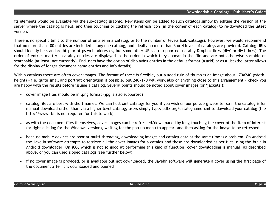its elements would be available via the sub-catalog graphic. New items can be added to such catalogs simply by editing the version of the server where the catalog is held, and then touching or clicking the refresh icon (in the corner of each catalog) to re-download the latest version.

There is no specific limit to the number of entries in a catalog, or to the number of levels (sub-catalogs). However, we would recommend that no more than 100 entries are included in any one catalog, and ideally no more than 3 or 4 levels of catalogs are provided. Catalog URLs should ideally be standard http or https web addresses, but some other URLs are supported, notably Dropbox links (dl=0 or dl=1 links). The order of entries matter – catalog entries are displayed in the order in which they appear in the file and are not otherwise sortable or searchable (at least, not currently). End users have the option of displaying entries in the default format (a grid) or as a list (the latter allows for the display of longer document name entries and info details).

Within catalogs there are often cover images. The format of these is flexible, but a good rule of thumb is an image about 170×240 (width, height) - i.e. quite small and portrait orientation if possible, but 240×170 will work also or anything close to this arrangement - check you are happy with the results before issuing a catalog. Several points should be noted about cover images (or 'jackets'):

- cover image files should be in .png format (jpg is also supported)
- catalog files are best with short names. We can host xml catalogs for you if you wish on our pdfz.org website, so if the catalog is for manual download rather than via a higher level catalog, users simply type: pdfz.org/catalogname.xml to download your catalog (the http://www. bit is not required for this to work)
- as with the document files themselves, cover images can be refreshed/downloaded by long-touching the cover of the item of interest (or right-clicking for the Windows version), waiting for the pop-up menu to appear, and then asking for the image to be refreshed
- because mobile devices are poor at multi-threading, downloading images and catalog data at the same time is a problem. On Android the Javelin software attempts to retrieve all the cover images for a catalog and these are downloaded as per files using the built-in Android downloader. On iOS, which is not so good at performing this kind of function, cover downloading is manual, as described above, or you can used zipped catalogs (see further below)
- if no cover image is provided, or is available but not downloaded, the Javelin software will generate a cover using the first page of the document after it is downloaded and opened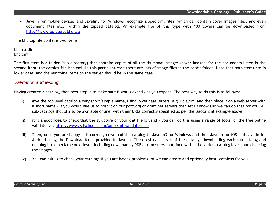• Javelin for mobile devices and Javelin3 for Windows recognize zipped xml files, which can contain cover images files, and even document files etc., within the zipped catalog. An example file of this type with 100 covers can be downloaded from <http://www.pdfz.org/bhc.zip>

The bhc.zip file contains two items:

bhc.catdir bhc.xml

The first item is a folder (sub-directory) that contains copies of all the thumbnail images (cover images) for the documents listed in the second item, the catalog file bhc.xml. In this particular case there are lots of image files in the catdir folder. Note that both items are in lower case, and the matching items on the server should be in the same case.

## *Validation and testing*

Having created a catalog, then next step is to make sure it works exactly as you expect. The best way to do this is as follows:

- (i) give the top level catalog a very short/simple name, using lower case letters, e.g. ucla.xml and then place it on a web server with a short name – if you would like us to host it on our pdfz.org or drmz.net servers then let us know and we can do that for you. All sub-catalogs should also be available online, with their URLs correctly specified as per the lasota.xml example above
- (ii) it is a good idea to check that the structure of your xml file is valid you can do this using a range of tools, or the free online validator at: [http://www.w3schools.com/xml/xml\\_validator.asp](http://www.w3schools.com/xml/xml_validator.asp)
- (iii) Then, once you are happy it is correct, download the catalog to Javelin3 for Windows and then Javelin for iOS and Javelin for Android using the Download icons provided in Javelin. Then test each level of the catalog, downloading each sub-catalog and opening it to check the next level, including downloading PDF or drmz files contained within the various catalog levels and checking the images
- (iv) You can ask us to check your catalogs if you are having problems, or we can create and optionally host, catalogs for you